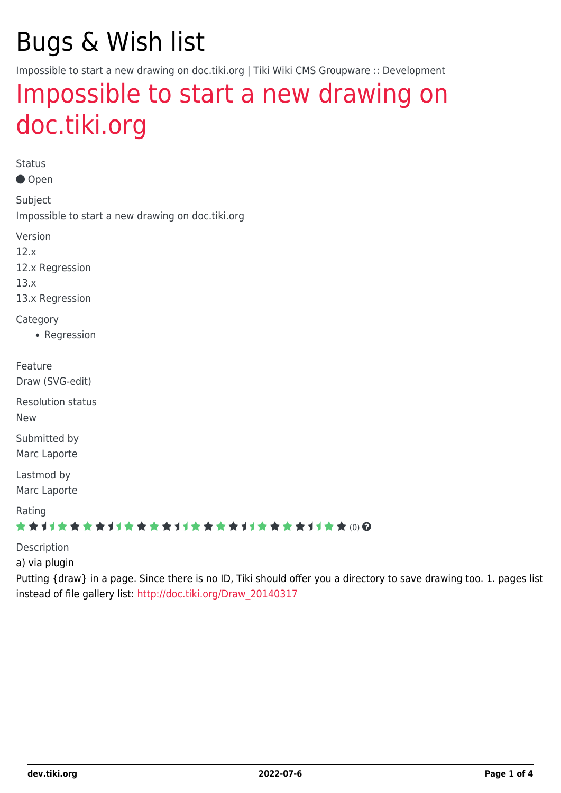## Bugs & Wish list

Impossible to start a new drawing on doc.tiki.org | Tiki Wiki CMS Groupware :: Development

### [Impossible to start a new drawing on](https://dev.tiki.org/item5166-Impossible-to-start-a-new-drawing-on-doc-tiki-org) [doc.tiki.org](https://dev.tiki.org/item5166-Impossible-to-start-a-new-drawing-on-doc-tiki-org)

Status ● Open Subject Impossible to start a new drawing on doc.tiki.org Version 12.x 12.x Regression 13.x 13.x Regression Category • Regression Feature Draw (SVG-edit) Resolution status New Submitted by Marc Laporte Lastmod by Marc Laporte Rating ★★11★★★★11★★★★11★★★★11★★★★+11★★ (0) @ Description a) via plugin

Putting {draw} in a page. Since there is no ID, Tiki should offer you a directory to save drawing too. 1. pages list instead of file gallery list: [http://doc.tiki.org/Draw\\_20140317](http://doc.tiki.org/Draw_20140317)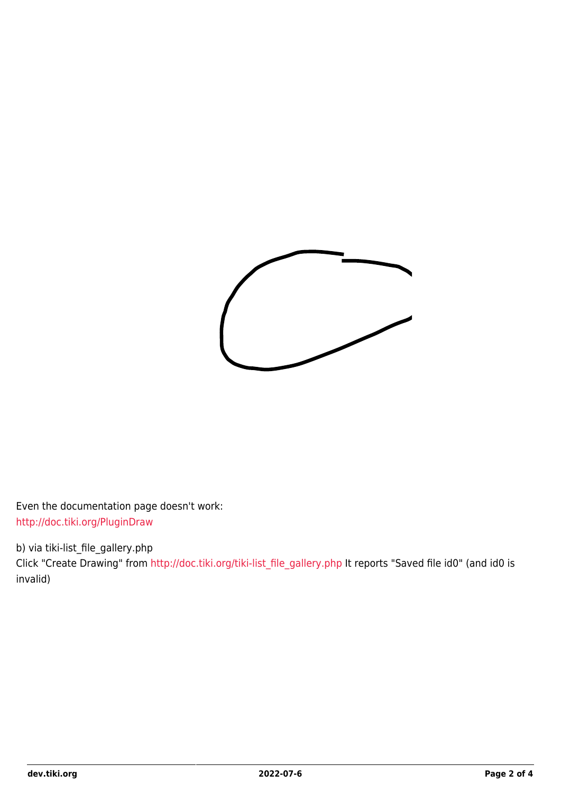

Even the documentation page doesn't work: <http://doc.tiki.org/PluginDraw>

b) via tiki-list\_file\_gallery.php

Click "Create Drawing" from [http://doc.tiki.org/tiki-list\\_file\\_gallery.php](http://doc.tiki.org/tiki-list_file_gallery.php) It reports "Saved file id0" (and id0 is invalid)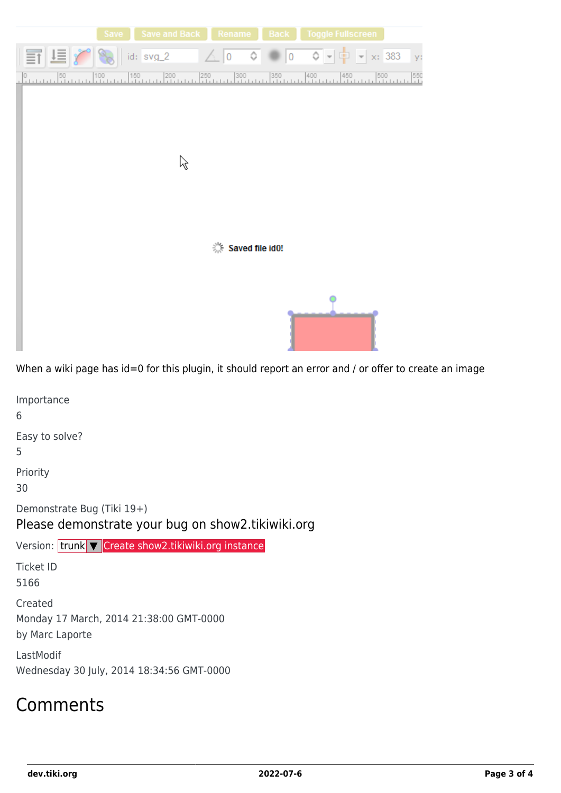

When a wiki page has id=0 for this plugin, it should report an error and / or offer to create an image

Importance 6 Easy to solve? 5 Priority 30 Demonstrate Bug (Tiki 19+) Please demonstrate your bug on show2.tikiwiki.org Version: trunk ▼ [Create show2.tikiwiki.org instance](#page--1-0) Ticket ID 5166 Created Monday 17 March, 2014 21:38:00 GMT-0000 by Marc Laporte LastModif Wednesday 30 July, 2014 18:34:56 GMT-0000

#### Comments